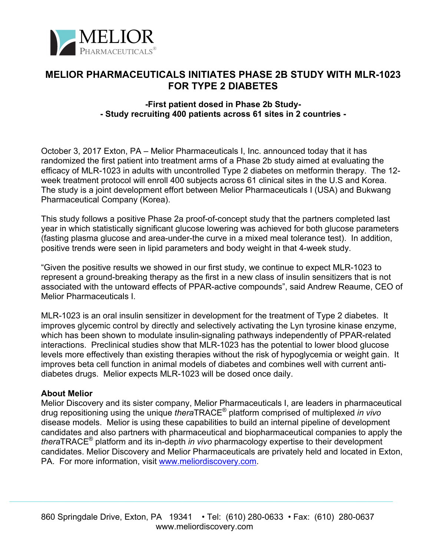

## **MELIOR PHARMACEUTICALS INITIATES PHASE 2B STUDY WITH MLR-1023 FOR TYPE 2 DIABETES**

## **-First patient dosed in Phase 2b Study- - Study recruiting 400 patients across 61 sites in 2 countries -**

October 3, 2017 Exton, PA – Melior Pharmaceuticals I, Inc. announced today that it has randomized the first patient into treatment arms of a Phase 2b study aimed at evaluating the efficacy of MLR-1023 in adults with uncontrolled Type 2 diabetes on metformin therapy. The 12 week treatment protocol will enroll 400 subjects across 61 clinical sites in the U.S and Korea. The study is a joint development effort between Melior Pharmaceuticals I (USA) and Bukwang Pharmaceutical Company (Korea).

This study follows a positive Phase 2a proof-of-concept study that the partners completed last year in which statistically significant glucose lowering was achieved for both glucose parameters (fasting plasma glucose and area-under-the curve in a mixed meal tolerance test). In addition, positive trends were seen in lipid parameters and body weight in that 4-week study.

"Given the positive results we showed in our first study, we continue to expect MLR-1023 to represent a ground-breaking therapy as the first in a new class of insulin sensitizers that is not associated with the untoward effects of PPAR-active compounds", said Andrew Reaume, CEO of Melior Pharmaceuticals I.

MLR-1023 is an oral insulin sensitizer in development for the treatment of Type 2 diabetes. It improves glycemic control by directly and selectively activating the Lyn tyrosine kinase enzyme, which has been shown to modulate insulin-signaling pathways independently of PPAR-related interactions. Preclinical studies show that MLR-1023 has the potential to lower blood glucose levels more effectively than existing therapies without the risk of hypoglycemia or weight gain. It improves beta cell function in animal models of diabetes and combines well with current antidiabetes drugs. Melior expects MLR-1023 will be dosed once daily.

## **About Melior**

Melior Discovery and its sister company, Melior Pharmaceuticals I, are leaders in pharmaceutical drug repositioning using the unique *thera*TRACE® platform comprised of multiplexed *in vivo* disease models. Melior is using these capabilities to build an internal pipeline of development candidates and also partners with pharmaceutical and biopharmaceutical companies to apply the *thera*TRACE® platform and its in-depth *in vivo* pharmacology expertise to their development candidates. Melior Discovery and Melior Pharmaceuticals are privately held and located in Exton, PA. For more information, visit www.meliordiscovery.com.

 $\mathcal{L}_\mathcal{L} = \mathcal{L}_\mathcal{L} = \mathcal{L}_\mathcal{L} = \mathcal{L}_\mathcal{L} = \mathcal{L}_\mathcal{L} = \mathcal{L}_\mathcal{L} = \mathcal{L}_\mathcal{L} = \mathcal{L}_\mathcal{L} = \mathcal{L}_\mathcal{L} = \mathcal{L}_\mathcal{L} = \mathcal{L}_\mathcal{L} = \mathcal{L}_\mathcal{L} = \mathcal{L}_\mathcal{L} = \mathcal{L}_\mathcal{L} = \mathcal{L}_\mathcal{L} = \mathcal{L}_\mathcal{L} = \mathcal{L}_\mathcal{L}$